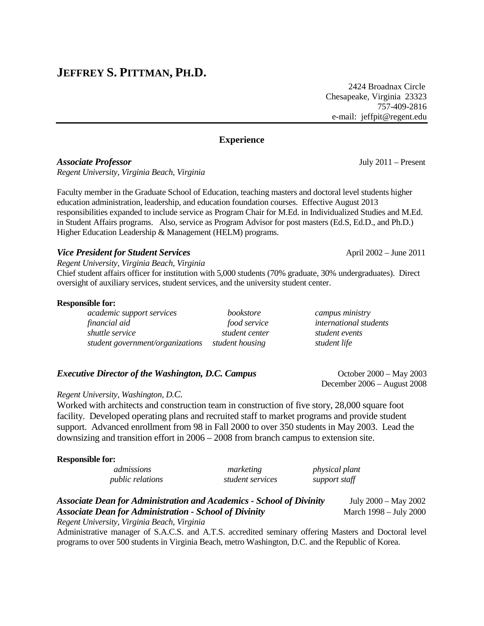# **JEFFREY S. PITTMAN, PH.D.**

 2424 Broadnax Circle Chesapeake, Virginia 23323 757-409-2816 e-mail: jeffpit@regent.edu

## **Experience**

*Associate Professor* July 2011 – Present

*Regent University, Virginia Beach, Virginia*

Faculty member in the Graduate School of Education, teaching masters and doctoral level students higher education administration, leadership, and education foundation courses. Effective August 2013 responsibilities expanded to include service as Program Chair for M.Ed. in Individualized Studies and M.Ed. in Student Affairs programs. Also, service as Program Advisor for post masters (Ed.S, Ed.D., and Ph.D.) Higher Education Leadership & Management (HELM) programs.

#### *Vice President for Student Services* April 2002 – June 2011

*Regent University, Virginia Beach, Virginia*

Chief student affairs officer for institution with 5,000 students (70% graduate, 30% undergraduates). Direct oversight of auxiliary services, student services, and the university student center.

#### **Responsible for:**

*academic support services bookstore campus ministry financial aid food service international students shuttle service student center student events student government/organizations student housing student life*

#### *Executive Director of the Washington, D.C. Campus* **Concrete Control** October 2000 – May 2003

December 2006 – August 2008

#### *Regent University, Washington, D.C.*

Worked with architects and construction team in construction of five story, 28,000 square foot facility. Developed operating plans and recruited staff to market programs and provide student support. Advanced enrollment from 98 in Fall 2000 to over 350 students in May 2003. Lead the downsizing and transition effort in 2006 – 2008 from branch campus to extension site.

#### **Responsible for:**

| admissions              | marketing        | <i>physical plant</i> |
|-------------------------|------------------|-----------------------|
| <i>public relations</i> | student services | support staff         |

## *Associate Dean for Administration and Academics - School of Divinity* July 2000 – May 2002 *Associate Dean for Administration - School of Divinity* March 1998 – July 2000

*Regent University, Virginia Beach, Virginia* Administrative manager of S.A.C.S. and A.T.S. accredited seminary offering Masters and Doctoral level programs to over 500 students in Virginia Beach, metro Washington, D.C. and the Republic of Korea.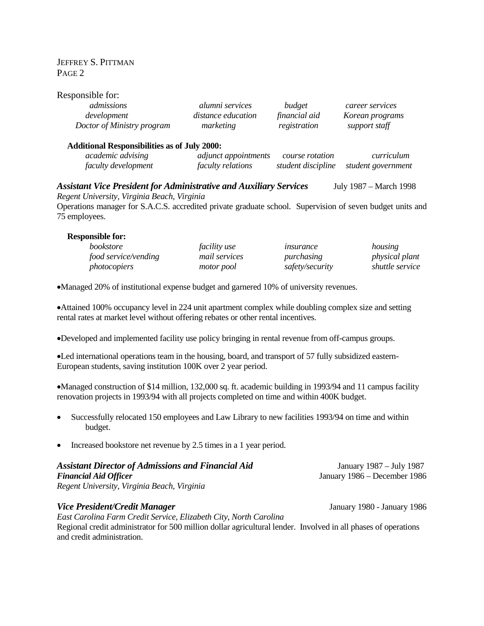#### Responsible for:

| admissions                                                                                                               | alumni services          | budget             | career services        |
|--------------------------------------------------------------------------------------------------------------------------|--------------------------|--------------------|------------------------|
| development                                                                                                              | distance education       | financial aid      | Korean programs        |
| Doctor of Ministry program<br><b>Additional Responsibilities as of July 2000:</b>                                        | marketing                | registration       | support staff          |
| academic advising                                                                                                        | adjunct appointments     | course rotation    | curriculum             |
| <i>faculty development</i>                                                                                               | <i>faculty relations</i> | student discipline | student government     |
| <b>Assistant Vice President for Administrative and Auxiliary Services</b><br>Regent University, Virginia Beach, Virginia |                          |                    | July 1987 – March 1998 |

Operations manager for S.A.C.S. accredited private graduate school. Supervision of seven budget units and 75 employees.

| <b>Responsible for:</b> |                      |                 |                       |
|-------------------------|----------------------|-----------------|-----------------------|
| <i>bookstore</i>        | <i>facility use</i>  | insurance       | housing               |
| food service/vending    | <i>mail services</i> | purchasing      | <i>physical plant</i> |
| <i>photocopiers</i>     | <i>motor pool</i>    | safety/security | shuttle service       |

•Managed 20% of institutional expense budget and garnered 10% of university revenues.

•Attained 100% occupancy level in 224 unit apartment complex while doubling complex size and setting rental rates at market level without offering rebates or other rental incentives.

•Developed and implemented facility use policy bringing in rental revenue from off-campus groups.

•Led international operations team in the housing, board, and transport of 57 fully subsidized eastern-European students, saving institution 100K over 2 year period.

•Managed construction of \$14 million, 132,000 sq. ft. academic building in 1993/94 and 11 campus facility renovation projects in 1993/94 with all projects completed on time and within 400K budget.

- Successfully relocated 150 employees and Law Library to new facilities 1993/94 on time and within budget.
- Increased bookstore net revenue by 2.5 times in a 1 year period.

| <b>Assistant Director of Admissions and Financial Aid</b> | January 1987 – July 1987     |
|-----------------------------------------------------------|------------------------------|
| <b>Financial Aid Officer</b>                              | January 1986 – December 1986 |
| Regent University, Virginia Beach, Virginia               |                              |

#### *Vice President/Credit Manager* January 1980 - January 1986

*East Carolina Farm Credit Service, Elizabeth City, North Carolina*

Regional credit administrator for 500 million dollar agricultural lender. Involved in all phases of operations and credit administration.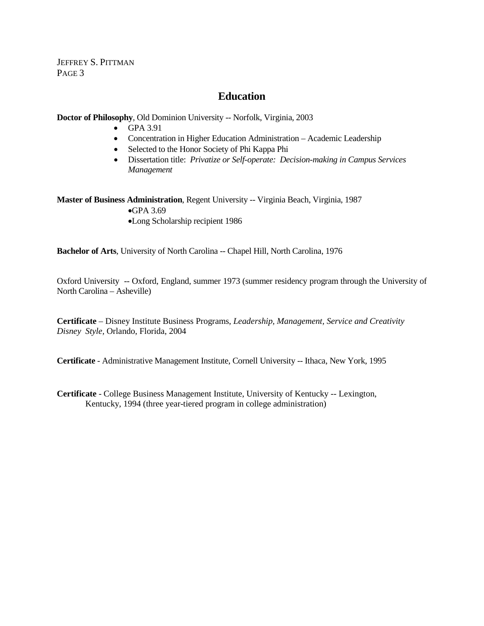## **Education**

#### **Doctor of Philosophy**, Old Dominion University -- Norfolk, Virginia, 2003

- GPA 3.91
- Concentration in Higher Education Administration Academic Leadership
- Selected to the Honor Society of Phi Kappa Phi
- Dissertation title: *Privatize or Self-operate: Decision-making in Campus Services Management*

**Master of Business Administration**, Regent University -- Virginia Beach, Virginia, 1987 •GPA 3.69 •Long Scholarship recipient 1986

**Bachelor of Arts**, University of North Carolina -- Chapel Hill, North Carolina, 1976

Oxford University -- Oxford, England, summer 1973 (summer residency program through the University of North Carolina – Asheville)

**Certificate** – Disney Institute Business Programs, *Leadership, Management, Service and Creativity Disney Style,* Orlando, Florida, 2004

**Certificate** - Administrative Management Institute, Cornell University -- Ithaca, New York, 1995

**Certificate** - College Business Management Institute, University of Kentucky -- Lexington, Kentucky, 1994 (three year-tiered program in college administration)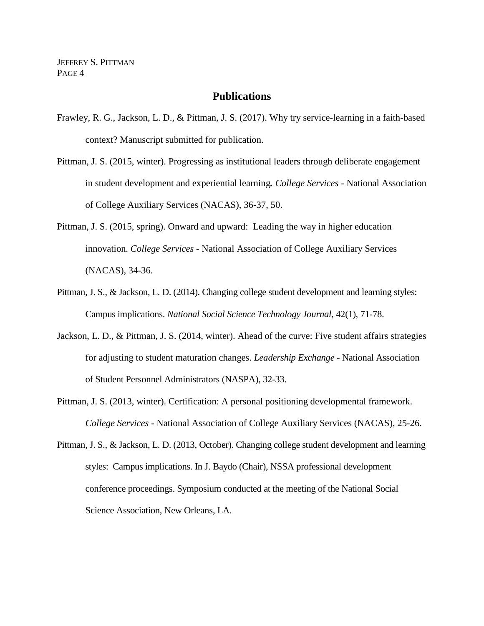## **Publications**

- Frawley, R. G., Jackson, L. D., & Pittman, J. S. (2017). Why try service-learning in a faith-based context? Manuscript submitted for publication.
- Pittman, J. S. (2015, winter). Progressing as institutional leaders through deliberate engagement in student development and experiential learning*. College Services* - National Association of College Auxiliary Services (NACAS), 36-37, 50.
- Pittman, J. S. (2015, spring). Onward and upward: Leading the way in higher education innovation*. College Services* - National Association of College Auxiliary Services (NACAS), 34-36.
- Pittman, J. S., & Jackson, L. D. (2014). Changing college student development and learning styles: Campus implications. *National Social Science Technology Journal*, 42(1), 71-78.
- Jackson, L. D., & Pittman, J. S. (2014, winter). Ahead of the curve: Five student affairs strategies for adjusting to student maturation changes. *Leadership Exchange* - National Association of Student Personnel Administrators (NASPA), 32-33.
- Pittman, J. S. (2013, winter). Certification: A personal positioning developmental framework. *College Services* - National Association of College Auxiliary Services (NACAS), 25-26.
- Pittman, J. S., & Jackson, L. D. (2013, October). Changing college student development and learning styles: Campus implications. In J. Baydo (Chair), NSSA professional development conference proceedings. Symposium conducted at the meeting of the National Social Science Association, New Orleans, LA.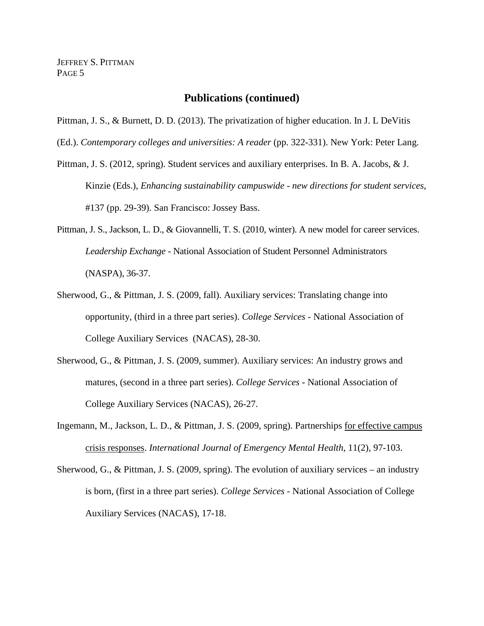#### **Publications (continued)**

- Pittman, J. S., & Burnett, D. D. (2013). The privatization of higher education. In J. L DeVitis
- (Ed.). *Contemporary colleges and universities: A reader* (pp. 322-331). New York: Peter Lang.
- Pittman, J. S. (2012, spring). Student services and auxiliary enterprises. In B. A. Jacobs, & J. Kinzie (Eds.), *Enhancing sustainability campuswide - new directions for student services*, #137 (pp. 29-39). San Francisco: Jossey Bass.
- Pittman, J. S., Jackson, L. D., & Giovannelli, T. S. (2010, winter). A new model for career services. *Leadership Exchange* - National Association of Student Personnel Administrators (NASPA), 36-37.
- Sherwood, G., & Pittman, J. S. (2009, fall). Auxiliary services: Translating change into opportunity, (third in a three part series). *College Services* - National Association of College Auxiliary Services (NACAS), 28-30.
- Sherwood, G., & Pittman, J. S. (2009, summer). Auxiliary services: An industry grows and matures, (second in a three part series). *College Services* - National Association of College Auxiliary Services (NACAS), 26-27.
- Ingemann, M., Jackson, L. D., & Pittman, J. S. (2009, spring). Partnerships for effective campus crisis responses. *International Journal of Emergency Mental Health*, 11(2), 97-103.
- Sherwood, G., & Pittman, J. S. (2009, spring). The evolution of auxiliary services an industry is born, (first in a three part series). *College Services* - National Association of College Auxiliary Services (NACAS), 17-18.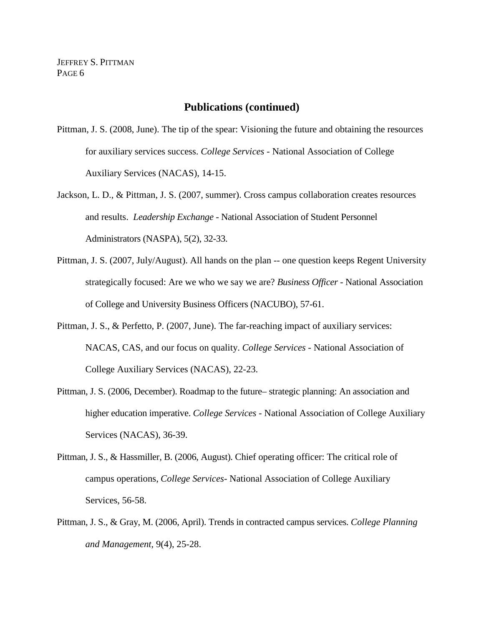### **Publications (continued)**

- Pittman, J. S. (2008, June). The tip of the spear: Visioning the future and obtaining the resources for auxiliary services success. *College Services* - National Association of College Auxiliary Services (NACAS), 14-15.
- Jackson, L. D., & Pittman, J. S. (2007, summer). Cross campus collaboration creates resources and results. *Leadership Exchange -* National Association of Student Personnel Administrators (NASPA), 5(2), 32-33.
- Pittman, J. S. (2007, July/August). All hands on the plan -- one question keeps Regent University strategically focused: Are we who we say we are? *Business Officer* - National Association of College and University Business Officers (NACUBO), 57-61.
- Pittman, J. S., & Perfetto, P. (2007, June). The far-reaching impact of auxiliary services: NACAS, CAS, and our focus on quality. *College Services* - National Association of College Auxiliary Services (NACAS), 22-23.
- Pittman, J. S. (2006, December). Roadmap to the future– strategic planning: An association and higher education imperative. *College Services* - National Association of College Auxiliary Services (NACAS), 36-39.
- Pittman, J. S., & Hassmiller, B. (2006, August). Chief operating officer: The critical role of campus operations, *College Services-* National Association of College Auxiliary Services, 56-58.
- Pittman, J. S., & Gray, M. (2006, April). Trends in contracted campus services. *College Planning and Management*, 9(4), 25-28.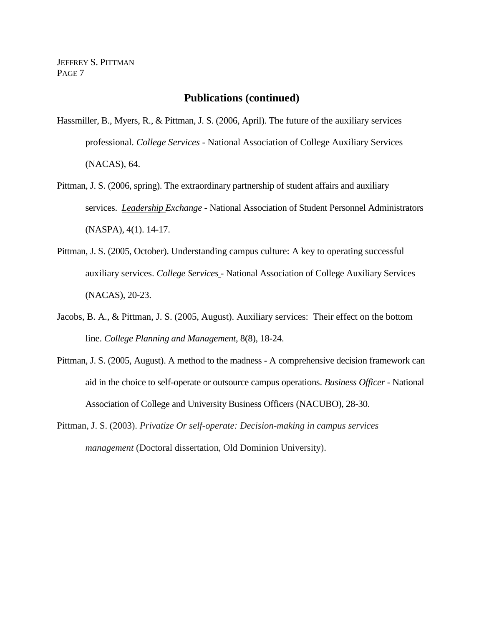#### **Publications (continued)**

- Hassmiller, B., Myers, R., & Pittman, J. S. (2006, April). The future of the auxiliary services professional. *College Services -* National Association of College Auxiliary Services (NACAS), 64.
- Pittman, J. S. (2006, spring). The extraordinary partnership of student affairs and auxiliary services. *Leadership Exchange* - National Association of Student Personnel Administrators (NASPA), 4(1). 14-17.
- Pittman, J. S. (2005, October). Understanding campus culture: A key to operating successful auxiliary services. *College Services* - National Association of College Auxiliary Services (NACAS), 20-23.
- Jacobs, B. A., & Pittman, J. S. (2005, August). Auxiliary services: Their effect on the bottom line. *College Planning and Management*, 8(8), 18-24.
- Pittman, J. S. (2005, August). A method to the madness A comprehensive decision framework can aid in the choice to self-operate or outsource campus operations. *Business Officer -* National Association of College and University Business Officers (NACUBO), 28-30.
- Pittman, J. S. (2003). *Privatize Or self-operate: Decision-making in campus services management* (Doctoral dissertation, Old Dominion University).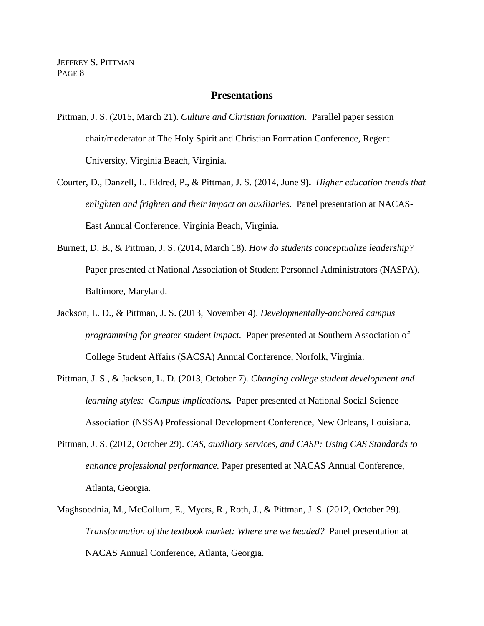#### **Presentations**

- Pittman, J. S. (2015, March 21). *Culture and Christian formation*. Parallel paper session chair/moderator at The Holy Spirit and Christian Formation Conference, Regent University, Virginia Beach, Virginia.
- Courter, D., Danzell, L. Eldred, P., & Pittman, J. S. (2014, June 9**).** *Higher education trends that enlighten and frighten and their impact on auxiliaries*. Panel presentation at NACAS-East Annual Conference, Virginia Beach, Virginia.
- Burnett, D. B., & Pittman, J. S. (2014, March 18). *How do students conceptualize leadership?* Paper presented at National Association of Student Personnel Administrators (NASPA), Baltimore, Maryland.
- Jackson, L. D., & Pittman, J. S. (2013, November 4). *Developmentally-anchored campus programming for greater student impact.* Paper presented at Southern Association of College Student Affairs (SACSA) Annual Conference, Norfolk, Virginia.
- Pittman, J. S., & Jackson, L. D. (2013, October 7). *Changing college student development and learning styles: Campus implications.* Paper presented at National Social Science Association (NSSA) Professional Development Conference, New Orleans, Louisiana.
- Pittman, J. S. (2012, October 29). *CAS, auxiliary services, and CASP: Using CAS Standards to enhance professional performance.* Paper presented at NACAS Annual Conference, Atlanta, Georgia.
- Maghsoodnia, M., McCollum, E., Myers, R., Roth, J., & Pittman, J. S. (2012, October 29). *Transformation of the textbook market: Where are we headed?* Panel presentation at NACAS Annual Conference, Atlanta, Georgia.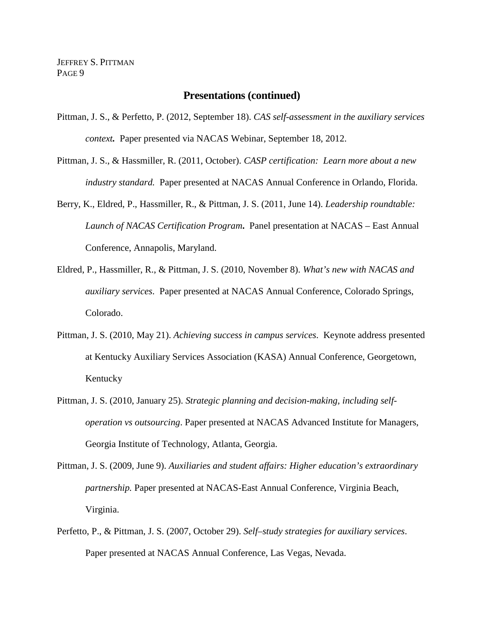- Pittman, J. S., & Perfetto, P. (2012, September 18). *CAS self-assessment in the auxiliary services context.* Paper presented via NACAS Webinar, September 18, 2012.
- Pittman, J. S., & Hassmiller, R. (2011, October). *CASP certification: Learn more about a new industry standard.* Paper presented at NACAS Annual Conference in Orlando, Florida.
- Berry, K., Eldred, P., Hassmiller, R., & Pittman, J. S. (2011, June 14). *Leadership roundtable: Launch of NACAS Certification Program***.** Panel presentation at NACAS – East Annual Conference, Annapolis, Maryland.
- Eldred, P., Hassmiller, R., & Pittman, J. S. (2010, November 8). *What's new with NACAS and auxiliary services*. Paper presented at NACAS Annual Conference, Colorado Springs, Colorado.
- Pittman, J. S. (2010, May 21). *Achieving success in campus services*. Keynote address presented at Kentucky Auxiliary Services Association (KASA) Annual Conference, Georgetown, Kentucky
- Pittman, J. S. (2010, January 25). *Strategic planning and decision-making, including selfoperation vs outsourcing*. Paper presented at NACAS Advanced Institute for Managers, Georgia Institute of Technology, Atlanta, Georgia.
- Pittman, J. S. (2009, June 9). *Auxiliaries and student affairs: Higher education's extraordinary partnership.* Paper presented at NACAS-East Annual Conference, Virginia Beach, Virginia.
- Perfetto, P., & Pittman, J. S. (2007, October 29). *Self–study strategies for auxiliary services*. Paper presented at NACAS Annual Conference, Las Vegas, Nevada.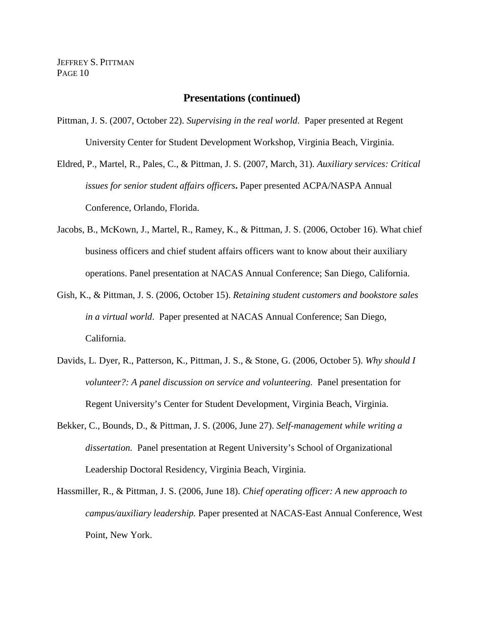- Pittman, J. S. (2007, October 22). *Supervising in the real world*. Paper presented at Regent University Center for Student Development Workshop, Virginia Beach, Virginia.
- Eldred, P., Martel, R., Pales, C., & Pittman, J. S. (2007, March, 31). *Auxiliary services: Critical issues for senior student affairs officers***.** Paper presented ACPA/NASPA Annual Conference, Orlando, Florida.
- Jacobs, B., McKown, J., Martel, R., Ramey, K., & Pittman, J. S. (2006, October 16). What chief business officers and chief student affairs officers want to know about their auxiliary operations. Panel presentation at NACAS Annual Conference; San Diego, California.
- Gish, K., & Pittman, J. S. (2006, October 15). *Retaining student customers and bookstore sales in a virtual world*. Paper presented at NACAS Annual Conference; San Diego, California.
- Davids, L. Dyer, R., Patterson, K., Pittman, J. S., & Stone, G. (2006, October 5). *Why should I volunteer?: A panel discussion on service and volunteering.* Panel presentation for Regent University's Center for Student Development, Virginia Beach, Virginia.
- Bekker, C., Bounds, D., & Pittman, J. S. (2006, June 27). *Self-management while writing a dissertation.* Panel presentation at Regent University's School of Organizational Leadership Doctoral Residency, Virginia Beach, Virginia.
- Hassmiller, R., & Pittman, J. S. (2006, June 18). *Chief operating officer: A new approach to campus/auxiliary leadership.* Paper presented at NACAS-East Annual Conference, West Point, New York.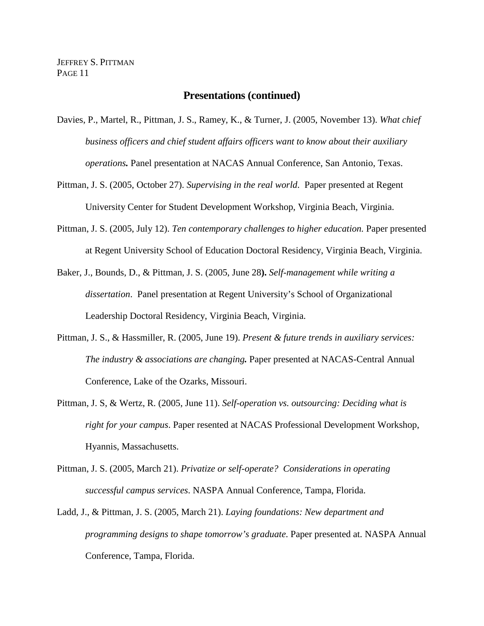Davies, P., Martel, R., Pittman, J. S., Ramey, K., & Turner, J. (2005, November 13). *What chief business officers and chief student affairs officers want to know about their auxiliary operations.* Panel presentation at NACAS Annual Conference, San Antonio, Texas.

- Pittman, J. S. (2005, October 27). *Supervising in the real world*. Paper presented at Regent University Center for Student Development Workshop, Virginia Beach, Virginia.
- Pittman, J. S. (2005, July 12). *Ten contemporary challenges to higher education.* Paper presented at Regent University School of Education Doctoral Residency, Virginia Beach, Virginia.
- Baker, J., Bounds, D., & Pittman, J. S. (2005, June 28**).** *Self-management while writing a dissertation*. Panel presentation at Regent University's School of Organizational Leadership Doctoral Residency, Virginia Beach, Virginia.
- Pittman, J. S., & Hassmiller, R. (2005, June 19). *Present & future trends in auxiliary services: The industry & associations are changing.* Paper presented at NACAS-Central Annual Conference, Lake of the Ozarks, Missouri.
- Pittman, J. S, & Wertz, R. (2005, June 11). *Self-operation vs. outsourcing: Deciding what is right for your campus*. Paper resented at NACAS Professional Development Workshop, Hyannis, Massachusetts.
- Pittman, J. S. (2005, March 21). *Privatize or self-operate? Considerations in operating successful campus services*. NASPA Annual Conference, Tampa, Florida.
- Ladd, J., & Pittman, J. S. (2005, March 21). *Laying foundations: New department and programming designs to shape tomorrow's graduate*. Paper presented at. NASPA Annual Conference, Tampa, Florida.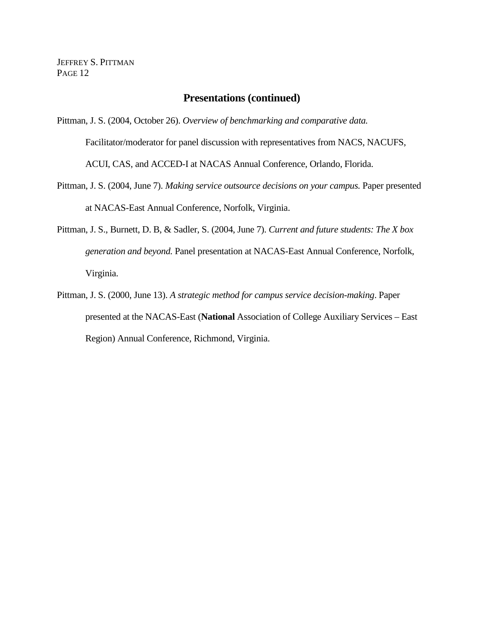Pittman, J. S. (2004, October 26). *Overview of benchmarking and comparative data.* 

Facilitator/moderator for panel discussion with representatives from NACS, NACUFS,

ACUI, CAS, and ACCED-I at NACAS Annual Conference, Orlando, Florida.

- Pittman, J. S. (2004, June 7). *Making service outsource decisions on your campus.* Paper presented at NACAS-East Annual Conference, Norfolk, Virginia.
- Pittman, J. S., Burnett, D. B, & Sadler, S. (2004, June 7). *Current and future students: The X box generation and beyond.* Panel presentation at NACAS-East Annual Conference, Norfolk, Virginia.
- Pittman, J. S. (2000, June 13). *A strategic method for campus service decision-making*. Paper presented at the NACAS-East (**National** Association of College Auxiliary Services – East Region) Annual Conference, Richmond, Virginia.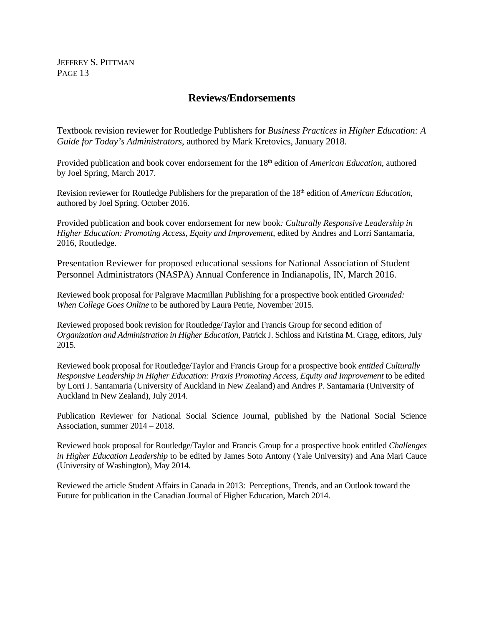# **Reviews/Endorsements**

Textbook revision reviewer for Routledge Publishers for *Business Practices in Higher Education: A Guide for Today's Administrators*, authored by Mark Kretovics, January 2018.

Provided publication and book cover endorsement for the 18th edition of *American Education*, authored by Joel Spring, March 2017.

Revision reviewer for Routledge Publishers for the preparation of the 18<sup>th</sup> edition of *American Education*, authored by Joel Spring. October 2016.

Provided publication and book cover endorsement for new book*: Culturally Responsive Leadership in Higher Education: Promoting Access, Equity and Improvement*, edited by Andres and Lorri Santamaria, 2016, Routledge.

Presentation Reviewer for proposed educational sessions for National Association of Student Personnel Administrators (NASPA) Annual Conference in Indianapolis, IN, March 2016.

Reviewed book proposal for Palgrave Macmillan Publishing for a prospective book entitled *Grounded: When College Goes Online* to be authored by Laura Petrie, November 2015.

Reviewed proposed book revision for Routledge/Taylor and Francis Group for second edition of *Organization and Administration in Higher Education,* Patrick J. Schloss and Kristina M. Cragg, editors, July 2015.

Reviewed book proposal for Routledge/Taylor and Francis Group for a prospective book *entitled Culturally Responsive Leadership in Higher Education: Praxis Promoting Access, Equity and Improvement* to be edited by Lorri J. Santamaria (University of Auckland in New Zealand) and Andres P. Santamaria (University of Auckland in New Zealand), July 2014.

Publication Reviewer for National Social Science Journal, published by the National Social Science Association, summer 2014 – 2018.

Reviewed book proposal for Routledge/Taylor and Francis Group for a prospective book entitled *Challenges in Higher Education Leadership* to be edited by James Soto Antony (Yale University) and Ana Mari Cauce (University of Washington), May 2014.

Reviewed the article Student Affairs in Canada in 2013: Perceptions, Trends, and an Outlook toward the Future for publication in the Canadian Journal of Higher Education, March 2014.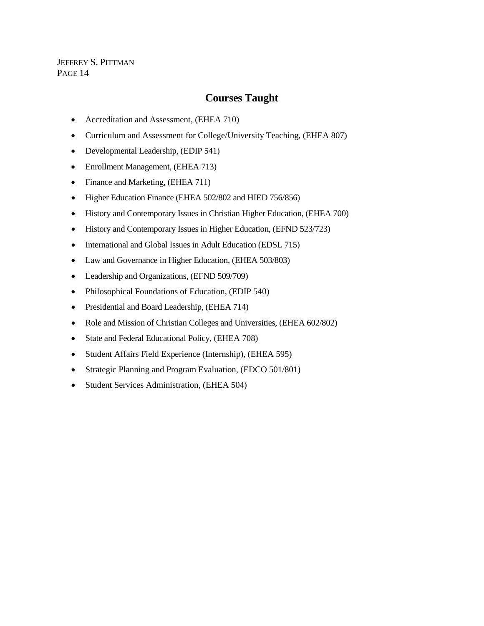# **Courses Taught**

- Accreditation and Assessment, (EHEA 710)
- Curriculum and Assessment for College/University Teaching, (EHEA 807)
- Developmental Leadership, (EDIP 541)
- Enrollment Management, (EHEA 713)
- Finance and Marketing, (EHEA 711)
- Higher Education Finance (EHEA 502/802 and HIED 756/856)
- History and Contemporary Issues in Christian Higher Education, (EHEA 700)
- History and Contemporary Issues in Higher Education, (EFND 523/723)
- International and Global Issues in Adult Education (EDSL 715)
- Law and Governance in Higher Education, (EHEA 503/803)
- Leadership and Organizations, (EFND 509/709)
- Philosophical Foundations of Education, (EDIP 540)
- Presidential and Board Leadership, (EHEA 714)
- Role and Mission of Christian Colleges and Universities, (EHEA 602/802)
- State and Federal Educational Policy, (EHEA 708)
- Student Affairs Field Experience (Internship), (EHEA 595)
- Strategic Planning and Program Evaluation, (EDCO 501/801)
- Student Services Administration, (EHEA 504)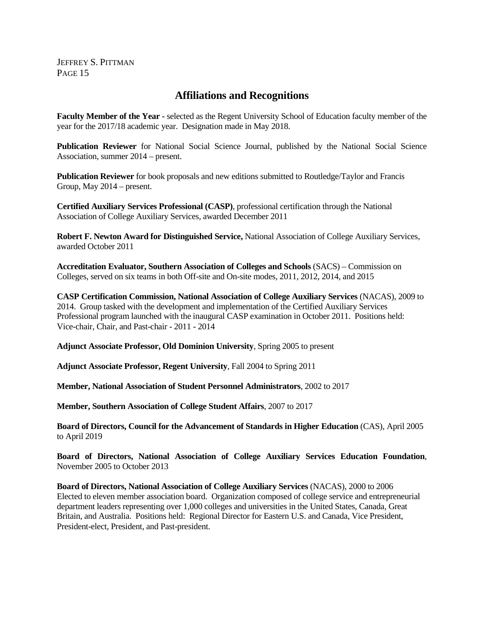## **Affiliations and Recognitions**

**Faculty Member of the Year -** selected as the Regent University School of Education faculty member of the year for the 2017/18 academic year. Designation made in May 2018.

**Publication Reviewer** for National Social Science Journal, published by the National Social Science Association, summer 2014 – present.

**Publication Reviewer** for book proposals and new editions submitted to Routledge/Taylor and Francis Group, May 2014 – present.

**Certified Auxiliary Services Professional (CASP)**, professional certification through the National Association of College Auxiliary Services, awarded December 2011

**Robert F. Newton Award for Distinguished Service,** National Association of College Auxiliary Services, awarded October 2011

**Accreditation Evaluator, Southern Association of Colleges and Schools** (SACS) – Commission on Colleges, served on six teams in both Off-site and On-site modes, 2011, 2012, 2014, and 2015

**CASP Certification Commission, National Association of College Auxiliary Services** (NACAS), 2009 to 2014. Group tasked with the development and implementation of the Certified Auxiliary Services Professional program launched with the inaugural CASP examination in October 2011. Positions held: Vice-chair, Chair, and Past-chair - 2011 - 2014

**Adjunct Associate Professor, Old Dominion University**, Spring 2005 to present

**Adjunct Associate Professor, Regent University**, Fall 2004 to Spring 2011

**Member, National Association of Student Personnel Administrators**, 2002 to 2017

**Member, Southern Association of College Student Affairs**, 2007 to 2017

**Board of Directors, Council for the Advancement of Standards in Higher Education** (CAS), April 2005 to April 2019

**Board of Directors, National Association of College Auxiliary Services Education Foundation**, November 2005 to October 2013

**Board of Directors, National Association of College Auxiliary Services** (NACAS), 2000 to 2006 Elected to eleven member association board. Organization composed of college service and entrepreneurial department leaders representing over 1,000 colleges and universities in the United States, Canada, Great Britain, and Australia. Positions held: Regional Director for Eastern U.S. and Canada, Vice President, President-elect, President, and Past-president.